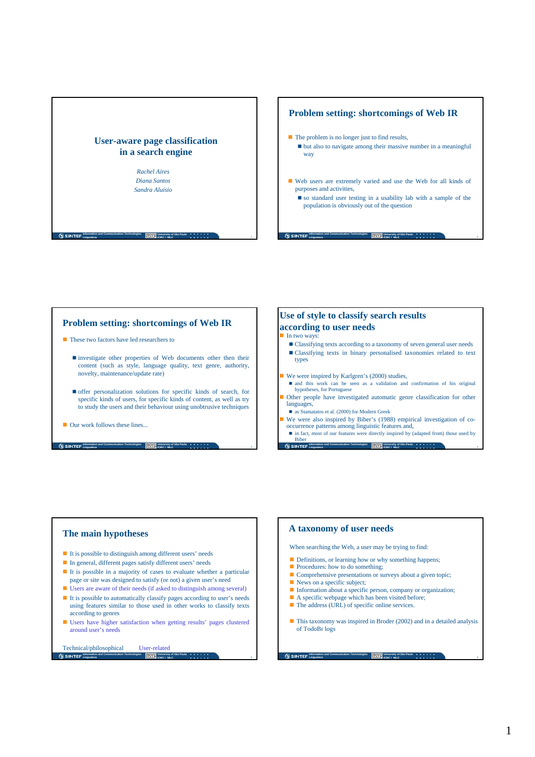

## **Problem setting: shortcomings of Web IR**

- $\blacksquare$  The problem is no longer just to find results, but also to navigate among their massive number in a meaningful way
- Web users are extremely varied and use the Web for all kinds of purposes and activities,
	- so standard user testing in a usability lab with a sample of the population is obviously out of the question

**University of São Paulo ICMC / NILC**

#### **Problem setting: shortcomings of Web IR**

- **These two factors have led researchers to** 
	- investigate other properties of Web documents other then their content (such as style, language quality, text genre, authority, novelty, maintenance/update rate)
	- offer personalization solutions for specific kinds of search, for specific kinds of users, for specific kinds of content, as well as try to study the users and their behaviour using unobtrusive techniques
- **Our work follows these lines.**

# **Use of style to classify search results according to user needs**

**Information and Communication Technologies**

**Linguateca**

#### $\blacksquare$  In two ways:

- Classifying texts according to a taxonomy of seven general user needs Classifying texts in binary personalised taxonomies related to text types
- We were inspired by Karlgren's (2000) studies,
- and this work can be seen as a validation and confirmation of his original hypotheses, for Portuguese
- Other people have investigated automatic genre classification for other languages,
- as Stamatatos et al. (2000) for Modern Greek
- We were also inspired by Biber's (1988) empirical investigation of cooccurrence patterns among linguistic features and, ■ in fact, most of our features were directly inspired by (adapted from) those used by
- **Information and Communication Technologies**<br> **LENT | ICMC / NILC Linguateca** Biber<br>Gusinter

### **The main hypotheses**

It is possible to distinguish among different users' needs

**Information and Communication Technologies**<br> **Linguateca**<br> **ICMC / NILC** 

- In general, different pages satisfy different users' needs
- It is possible in a majority of cases to evaluate whether a particular page or site was designed to satisfy (or not) a given user's need
- Users are aware of their needs (if asked to distinguish among several)
- It is possible to automatically classify pages according to user's needs using features similar to those used in other works to classify texts according to genres
- Users have higher satisfaction when getting results' pages clustered around user's needs

**Information and Communication Technologies** Technical/philosophical User-related

**Linguateca**

**University of São Paulo ICMC / NILC**

# **A taxonomy of user needs**

When searching the Web, a user may be trying to find:

- Definitions, or learning how or why something happens;
- Procedures: how to do something;
- Comprehensive presentations or surveys about a given topic;
- News on a specific subject;
- Information about a specific person, company or organization;
- A specific webpage which has been visited before;
- The address (URL) of specific online services.
- $\blacksquare$  This taxonomy was inspired in Broder (2002) and in a detailed analysis of TodoBr logs

**Information and Communication Technologies Linguateca University of São Paulo ICMC / NILC**

6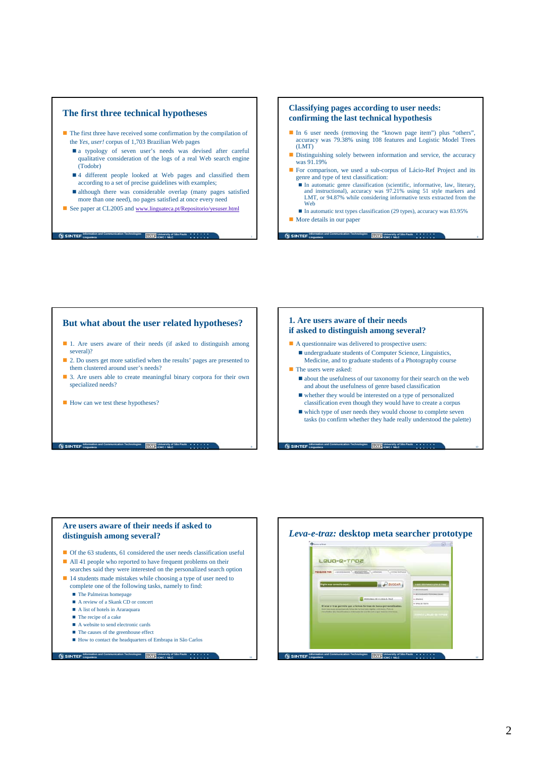### **The first three technical hypotheses**

- $\blacksquare$  The first three have received some confirmation by the compilation of the *Yes, user!* corpus of 1,703 Brazilian Web pages
	- a typology of seven user's needs was devised after careful qualitative consideration of the logs of a real Web search engine (Todobr)
	- 4 different people looked at Web pages and classified them according to a set of precise guidelines with examples;
	- although there was considerable overlap (many pages satisfied more than one need), no pages satisfied at once every need
- See paper at CL2005 and www.linguateca.pt/Repositorio/yesuser.html

**Information and Communication Technologies University of São Paulo ICMC / NILC**

**Cu SINTEF** Information and Co

## **Classifying pages according to user needs: confirming the last technical hypothesis**

- In 6 user needs (removing the "known page item") plus "others", accuracy was 79.38% using 108 features and Logistic Model Trees (LMT)
- **Distinguishing solely between information and service, the accuracy** was 91.19%
- For comparison, we used a sub-corpus of Lácio-Ref Project and its genre and type of text classification:
	- $\blacksquare$  In automatic genre classification (scientific, informative, law, literary, and instructional), accuracy was 97.21% using 51 style markers and LMT, or 94.87% while considering informative texts extracted from the Web

**University of São Paulo ICMC / NILC**

■ In automatic text types classification (29 types), accuracy was 83.95% **More details in our paper** 

# **But what about the user related hypotheses?**

- 1. Are users aware of their needs (if asked to distinguish among several)?
- 2. Do users get more satisfied when the results' pages are presented to them clustered around user's needs?
- 3. Are users able to create meaningful binary corpora for their own specialized needs?
- How can we test these hypotheses?

### **1. Are users aware of their needs if asked to distinguish among several?**

**Information and Communication Technologies Linguateca**

- A questionnaire was delivered to prospective users: undergraduate students of Computer Science, Linguistics, Medicine, and to graduate students of a Photography course
- The users were asked:
	- about the usefulness of our taxonomy for their search on the web and about the usefulness of genre based classification
	- $\blacksquare$  whether they would be interested on a type of personalized classification even though they would have to create a corpus

**Information and Communication Technologies Linguateca University of São Paulo ICMC / NILC**

 which type of user needs they would choose to complete seven tasks (to confirm whether they hade really understood the palette)

# **Are users aware of their needs if asked to distinguish among several?**

**Information and Communication Technologies**<br> **Linguateca**<br> **ICMC / NILC** 

- Of the 63 students, 61 considered the user needs classification useful
- 
- All 41 people who reported to have frequent problems on their
- searches said they were interested on the personalized search option ■ 14 students made mistakes while choosing a type of user need to
- complete one of the following tasks, namely to find: **The Palmeiras homepage**
- A review of a Skank CD or concert
- $\blacksquare$  A list of hotels in Araraquara  $\blacksquare$  The recipe of a cake
- A website to send electronic cards

**Linguateca**

- The causes of the greenhouse effect
- How to contact the headquarters of Embrapa in São Carlos
- **Information and Communication Technologies University of São Paulo ICMC / NILC**

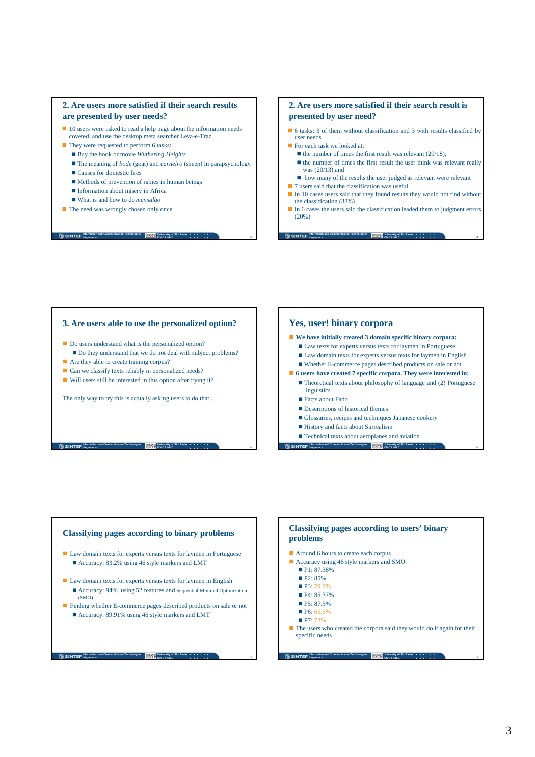### **2. Are users more satisfied if their search results are presented by user needs?**

- 10 users were asked to read a help page about the information needs covered, and use the desktop meta searcher Leva-e-Traz
- They were requested to perform 6 tasks:
	- Buy the book or movie *Wuthering Heights*
	- The meaning of *bode* (goat) and *carneiro* (sheep) in parapsychology

**University of São Paulo ICMC / NILC**

- Causes for domestic fires
- Methods of prevention of rabies in human beings
- **Information about misery in Africa**
- What is and how to do *mensalão*
- **The need was wrongly chosen only once**

**Information and Communication Technologies Linguateca**

### **2. Are users more satisfied if their search result is presented by user need?**

- 6 tasks: 3 of them without classification and 3 with results classified by user needs
- For each task we looked at:
	- $\blacksquare$  the number of times the first result was relevant (29/18),  $\blacksquare$  the number of times the first result the user think was relevant really was (20/13) and
	- how many of the results the user judged as relevant were relevant
- $\blacksquare$  7 users said that the classification was useful In 10 cases users said that they found results they would not find without
- the classification (33%)
- In 6 cases the users said the classification leaded them to judgment errors (20%)

**University of São Paulo ICMC / NILC**

14

16

18

#### **3. Are users able to use the personalized option?**

- Do users understand what is the personalized option?
- Do they understand that we do not deal with subject problems? Are they able to create training corpus?
- Can we classify texts reliably in personalized needs?
- Will users still be interested in this option after trying it?

The only way to try this is actually asking users to do that...

**Information and Communication Technologies**<br> **Linguateca**<br> **ICMC / NILC** 

## **Yes, user! binary corpora**

**Information and Communication Technologies Linguateca**

#### **We have initially created 3 domain specific binary corpora:**

- Law texts for experts versus texts for laymen in Portuguese
- Law domain texts for experts versus texts for laymen in English Whether E-commerce pages described products on sale or not
- **6 users have created 7 specific corpora. They were interested in:**
	- Theoretical texts about philosophy of language and (2) Portuguese linguistics
	- Facts about Fado
	- Descriptions of historical themes
	- Glossaries, recipes and techniques Japanese cookery
	- History and facts about Surrealism
- **Information and Communication Technologies Linguateca University of São Paulo ICMC / NILC** ■ Technical texts about aeroplanes and aviation

**Information and Communication Technologies L**isinter<sup>1</sup> **University of São Paulo ICMC / NILC Classifying pages according to binary problems** ■ Law domain texts for experts versus texts for laymen in Portuguese ■ Accuracy: 83.2% using 46 style markers and LMT Law domain texts for experts versus texts for laymen in English Accuracy: 94% using 52 features and Sequential Minimal Optimization (SMO) Finding whether E-commerce pages described products on sale or not Accuracy: 89.91% using 46 style markers and LMT **Linguater** P2: 85%  $P7.73%$ 

## **Classifying pages according to users' binary problems**

- Around 6 hours to create each corpus
- Accuracy using 46 style markers and SMO:
	- P1: 87.38%
	-
- P3: 79.9%
- P4: 85.37%
- $P5: 87.5%$
- $P6: 65.5\%$
- $\blacksquare$  The users who created the corpora said they would do it again for their specific needs

**Information and Communication Technologies University of São Paulo ICMC / NILC**